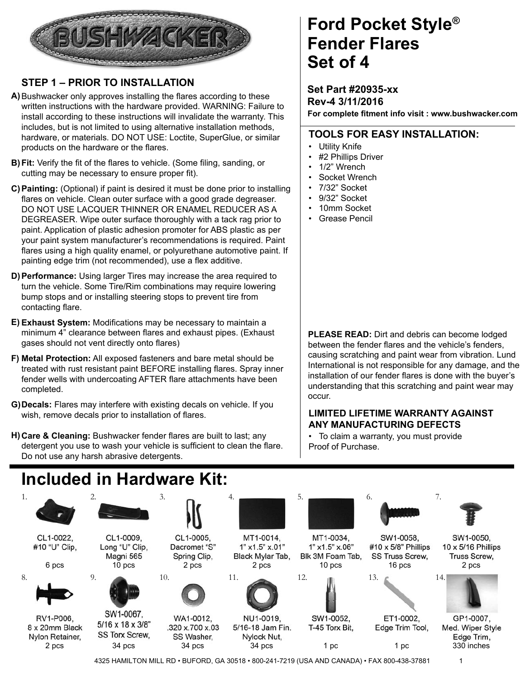

### **STEP 1 – PRIOR TO INSTALLATION**

- A) Bushwacker only approves installing the flares according to these written instructions with the hardware provided. WARNING: Failure to install according to these instructions will invalidate the warranty. This includes, but is not limited to using alternative installation methods, hardware, or materials. DO NOT USE: Loctite, SuperGlue, or similar products on the hardware or the flares.
- **B) Fit:** Verify the fit of the flares to vehicle. (Some filing, sanding, or cutting may be necessary to ensure proper fit).
- **Painting:** (Optional) if paint is desired it must be done prior to installing **C)** flares on vehicle. Clean outer surface with a good grade degreaser. DO NOT USE LACQUER THINNER OR ENAMEL REDUCER AS A DEGREASER. Wipe outer surface thoroughly with a tack rag prior to paint. Application of plastic adhesion promoter for ABS plastic as per your paint system manufacturer's recommendations is required. Paint flares using a high quality enamel, or polyurethane automotive paint. If painting edge trim (not recommended), use a flex additive.
- **Performance:** Using larger Tires may increase the area required to **D)** turn the vehicle. Some Tire/Rim combinations may require lowering bump stops and or installing steering stops to prevent tire from contacting flare.
- E) Exhaust System: Modifications may be necessary to maintain a minimum 4" clearance between flares and exhaust pipes. (Exhaust gases should not vent directly onto flares)
- **Metal Protection:** All exposed fasteners and bare metal should be **F)** treated with rust resistant paint BEFORE installing flares. Spray inner fender wells with undercoating AFTER flare attachments have been completed.
- **Decals:** Flares may interfere with existing decals on vehicle. If you **G)** wish, remove decals prior to installation of flares.
- H) Care & Cleaning: Bushwacker fender flares are built to last; any detergent you use to wash your vehicle is sufficient to clean the flare. Do not use any harsh abrasive detergents.

## **Ford Pocket Style® Set of 4 Fender Flares**

**Set Part #20935-xx Rev-4 3/11/2016 For complete fi tment info visit : www.bushwacker.com**

#### **TOOLS FOR EASY INSTALLATION:**

- Utility Knife
- #2 Phillips Driver
- 1/2" Wrench
- Socket Wrench
- 7/32" Socket
- 9/32" Socket
- 10mm Socket
- Grease Pencil

**PLEASE READ:** Dirt and debris can become lodged between the fender flares and the vehicle's fenders. causing scratching and paint wear from vibration. Lund International is not responsible for any damage, and the installation of our fender flares is done with the buyer's understanding that this scratching and paint wear may occur.

#### **LIMITED LIFETIME WARRANTY AGAINST ANY MANUFACTURING DEFECTS**

• To claim a warranty, you must provide Proof of Purchase.

# **Included in Hardware Kit:**

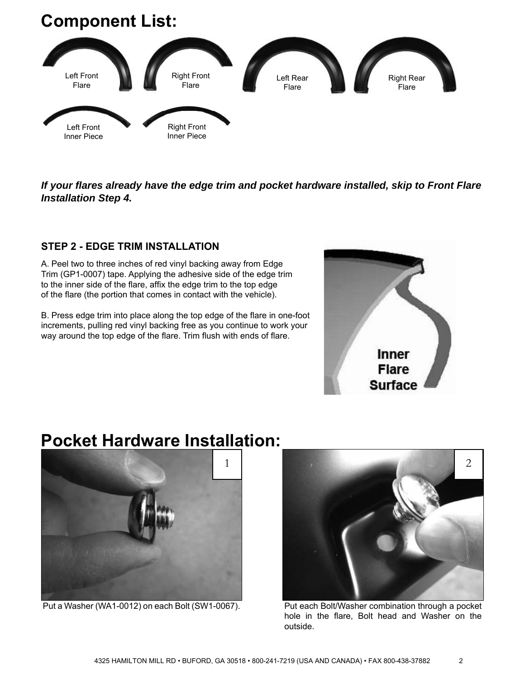### **Component List:**



*If your fl ares already have the edge trim and pocket hardware installed, skip to Front Flare Installation Step 4.*

#### **STEP 2 - EDGE TRIM INSTALLATION**

A. Peel two to three inches of red vinyl backing away from Edge Trim (GP1-0007) tape. Applying the adhesive side of the edge trim to the inner side of the flare, affix the edge trim to the top edge of the flare (the portion that comes in contact with the vehicle).

B. Press edge trim into place along the top edge of the flare in one-foot increments, pulling red vinyl backing free as you continue to work your way around the top edge of the flare. Trim flush with ends of flare.



### **Pocket Hardware Installation:**



Put a Washer (WA1-0012) on each Bolt (SW1-0067).



Put each Bolt/Washer combination through a pocket hole in the flare, Bolt head and Washer on the outside.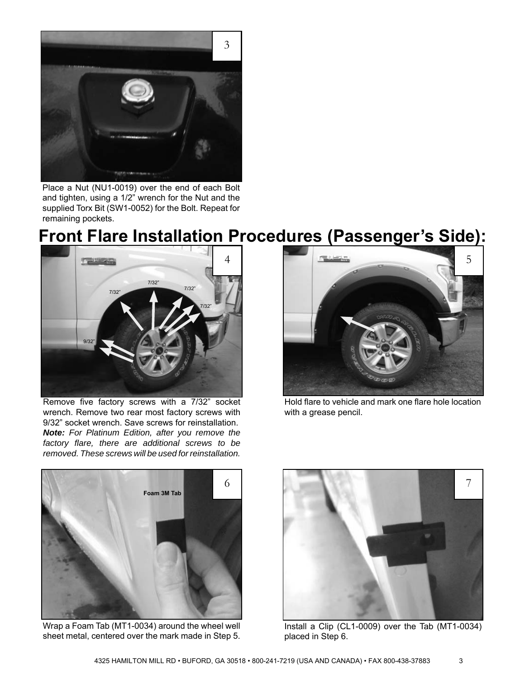

Place a Nut (NU1-0019) over the end of each Bolt and tighten, using a 1/2" wrench for the Nut and the supplied Torx Bit (SW1-0052) for the Bolt. Repeat for remaining pockets.

### **Front Flare Installation Procedures (Passenger's Side):**



Remove five factory screws with a 7/32" socket wrench. Remove two rear most factory screws with 9/32" socket wrench. Save screws for reinstallation. *Note: For Platinum Edition, after you remove the factory fl are, there are additional screws to be removed. These screws will be used for reinstallation.*



Hold flare to vehicle and mark one flare hole location with a grease pencil.



Wrap a Foam Tab (MT1-0034) around the wheel well sheet metal, centered over the mark made in Step 5.



Install a Clip (CL1-0009) over the Tab (MT1-0034) placed in Step 6.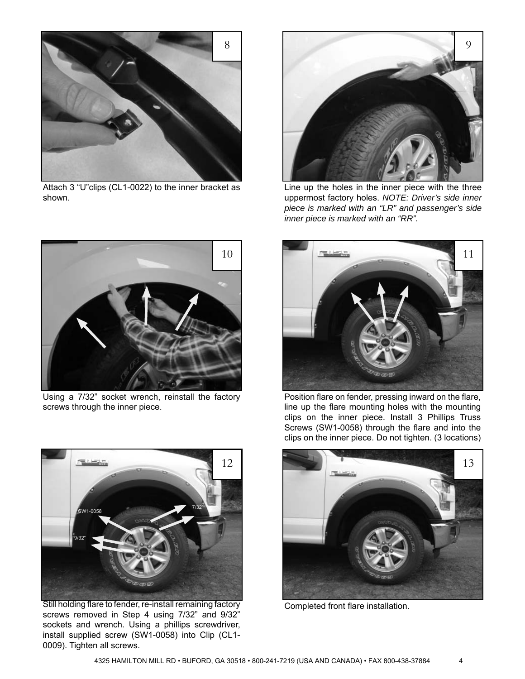

Attach 3 "U"clips (CL1-0022) to the inner bracket as shown.



Using a 7/32" socket wrench, reinstall the factory screws through the inner piece.



Still holding flare to fender, re-install remaining factory screws removed in Step 4 using 7/32" and 9/32" sockets and wrench. Using a phillips screwdriver, install supplied screw (SW1-0058) into Clip (CL1- 0009). Tighten all screws.



Line up the holes in the inner piece with the three uppermost factory holes. *NOTE: Driver's side inner piece is marked with an "LR" and passenger's side inner piece is marked with an "RR".*



Position flare on fender, pressing inward on the flare, line up the flare mounting holes with the mounting clips on the inner piece. Install 3 Phillips Truss Screws (SW1-0058) through the flare and into the clips on the inner piece. Do not tighten. (3 locations)



Completed front flare installation.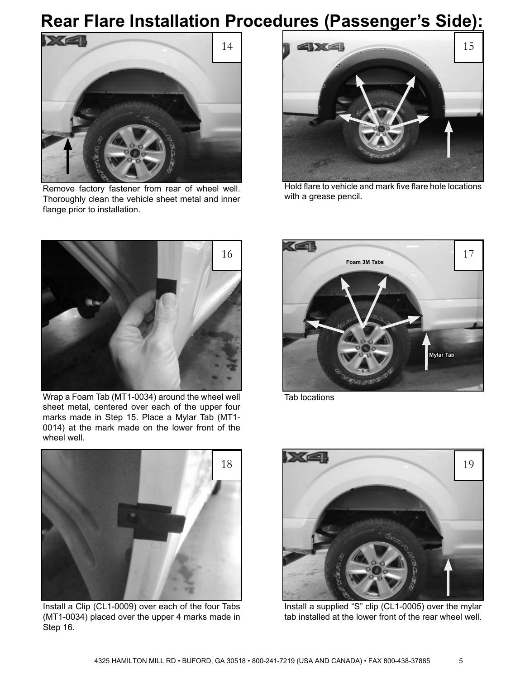# **Rear Flare Installation Procedures (Passenger's Side):**



Remove factory fastener from rear of wheel well. Thoroughly clean the vehicle sheet metal and inner flange prior to installation.



Hold flare to vehicle and mark five flare hole locations with a grease pencil.



Wrap a Foam Tab (MT1-0034) around the wheel well sheet metal, centered over each of the upper four marks made in Step 15. Place a Mylar Tab (MT1- 0014) at the mark made on the lower front of the wheel well.



Tab locations



Install a Clip (CL1-0009) over each of the four Tabs (MT1-0034) placed over the upper 4 marks made in Step 16.



Install a supplied "S" clip (CL1-0005) over the mylar tab installed at the lower front of the rear wheel well.